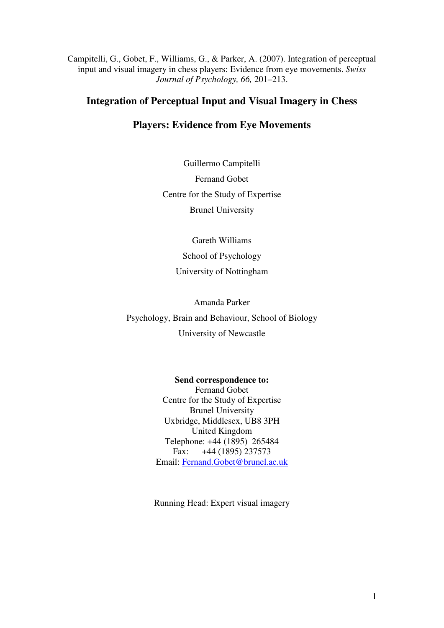Campitelli, G., Gobet, F., Williams, G., & Parker, A. (2007). Integration of perceptual input and visual imagery in chess players: Evidence from eye movements. *Swiss Journal of Psychology, 66,* 201–213.

## **Integration of Perceptual Input and Visual Imagery in Chess**

## **Players: Evidence from Eye Movements**

Guillermo Campitelli Fernand Gobet Centre for the Study of Expertise Brunel University

> Gareth Williams School of Psychology University of Nottingham

> > Amanda Parker

Psychology, Brain and Behaviour, School of Biology University of Newcastle

> **Send correspondence to:**  Fernand Gobet Centre for the Study of Expertise Brunel University Uxbridge, Middlesex, UB8 3PH United Kingdom Telephone: +44 (1895) 265484 Fax: +44 (1895) 237573 Email: Fernand.Gobet@brunel.ac.uk

Running Head: Expert visual imagery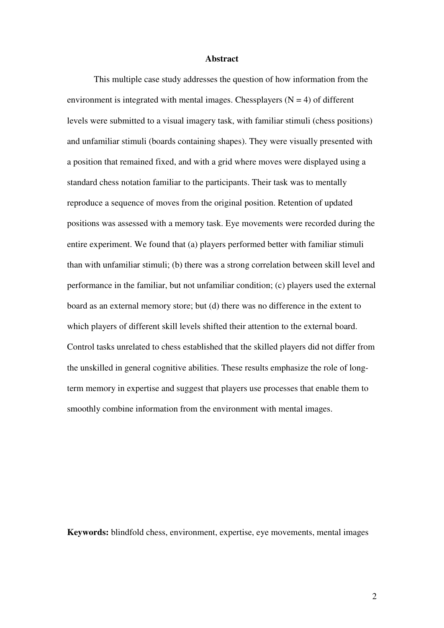#### **Abstract**

 This multiple case study addresses the question of how information from the environment is integrated with mental images. Chessplayers  $(N = 4)$  of different levels were submitted to a visual imagery task, with familiar stimuli (chess positions) and unfamiliar stimuli (boards containing shapes). They were visually presented with a position that remained fixed, and with a grid where moves were displayed using a standard chess notation familiar to the participants. Their task was to mentally reproduce a sequence of moves from the original position. Retention of updated positions was assessed with a memory task. Eye movements were recorded during the entire experiment. We found that (a) players performed better with familiar stimuli than with unfamiliar stimuli; (b) there was a strong correlation between skill level and performance in the familiar, but not unfamiliar condition; (c) players used the external board as an external memory store; but (d) there was no difference in the extent to which players of different skill levels shifted their attention to the external board. Control tasks unrelated to chess established that the skilled players did not differ from the unskilled in general cognitive abilities. These results emphasize the role of longterm memory in expertise and suggest that players use processes that enable them to smoothly combine information from the environment with mental images.

**Keywords:** blindfold chess, environment, expertise, eye movements, mental images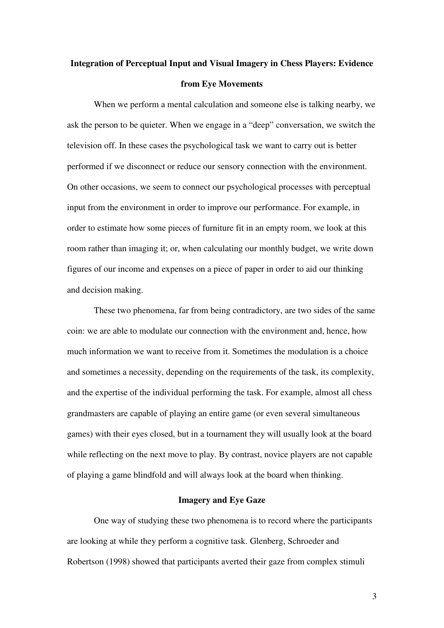# **Integration of Perceptual Input and Visual Imagery in Chess Players: Evidence from Eye Movements**

 When we perform a mental calculation and someone else is talking nearby, we ask the person to be quieter. When we engage in a "deep" conversation, we switch the television off. In these cases the psychological task we want to carry out is better performed if we disconnect or reduce our sensory connection with the environment. On other occasions, we seem to connect our psychological processes with perceptual input from the environment in order to improve our performance. For example, in order to estimate how some pieces of furniture fit in an empty room, we look at this room rather than imaging it; or, when calculating our monthly budget, we write down figures of our income and expenses on a piece of paper in order to aid our thinking and decision making.

 These two phenomena, far from being contradictory, are two sides of the same coin: we are able to modulate our connection with the environment and, hence, how much information we want to receive from it. Sometimes the modulation is a choice and sometimes a necessity, depending on the requirements of the task, its complexity, and the expertise of the individual performing the task. For example, almost all chess grandmasters are capable of playing an entire game (or even several simultaneous games) with their eyes closed, but in a tournament they will usually look at the board while reflecting on the next move to play. By contrast, novice players are not capable of playing a game blindfold and will always look at the board when thinking.

#### **Imagery and Eye Gaze**

 One way of studying these two phenomena is to record where the participants are looking at while they perform a cognitive task. Glenberg, Schroeder and Robertson (1998) showed that participants averted their gaze from complex stimuli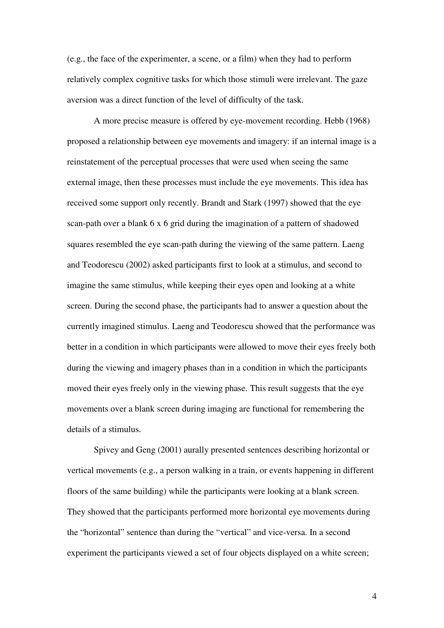(e.g., the face of the experimenter, a scene, or a film) when they had to perform relatively complex cognitive tasks for which those stimuli were irrelevant. The gaze aversion was a direct function of the level of difficulty of the task.

 A more precise measure is offered by eye-movement recording. Hebb (1968) proposed a relationship between eye movements and imagery: if an internal image is a reinstatement of the perceptual processes that were used when seeing the same external image, then these processes must include the eye movements. This idea has received some support only recently. Brandt and Stark (1997) showed that the eye scan-path over a blank 6 x 6 grid during the imagination of a pattern of shadowed squares resembled the eye scan-path during the viewing of the same pattern. Laeng and Teodorescu (2002) asked participants first to look at a stimulus, and second to imagine the same stimulus, while keeping their eyes open and looking at a white screen. During the second phase, the participants had to answer a question about the currently imagined stimulus. Laeng and Teodorescu showed that the performance was better in a condition in which participants were allowed to move their eyes freely both during the viewing and imagery phases than in a condition in which the participants moved their eyes freely only in the viewing phase. This result suggests that the eye movements over a blank screen during imaging are functional for remembering the details of a stimulus.

 Spivey and Geng (2001) aurally presented sentences describing horizontal or vertical movements (e.g., a person walking in a train, or events happening in different floors of the same building) while the participants were looking at a blank screen. They showed that the participants performed more horizontal eye movements during the "horizontal" sentence than during the "vertical" and vice-versa. In a second experiment the participants viewed a set of four objects displayed on a white screen;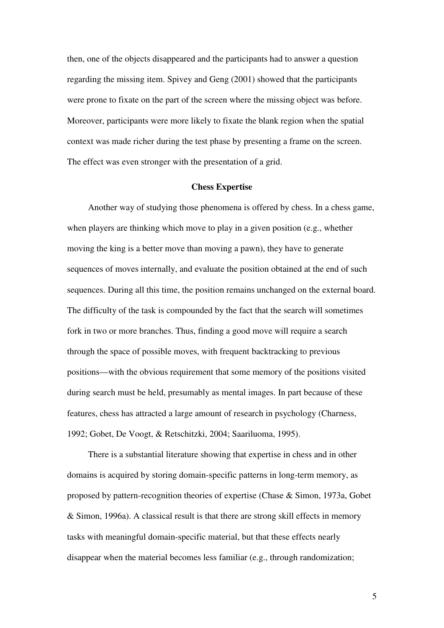then, one of the objects disappeared and the participants had to answer a question regarding the missing item. Spivey and Geng (2001) showed that the participants were prone to fixate on the part of the screen where the missing object was before. Moreover, participants were more likely to fixate the blank region when the spatial context was made richer during the test phase by presenting a frame on the screen. The effect was even stronger with the presentation of a grid.

#### **Chess Expertise**

Another way of studying those phenomena is offered by chess. In a chess game, when players are thinking which move to play in a given position (e.g., whether moving the king is a better move than moving a pawn), they have to generate sequences of moves internally, and evaluate the position obtained at the end of such sequences. During all this time, the position remains unchanged on the external board. The difficulty of the task is compounded by the fact that the search will sometimes fork in two or more branches. Thus, finding a good move will require a search through the space of possible moves, with frequent backtracking to previous positions—with the obvious requirement that some memory of the positions visited during search must be held, presumably as mental images. In part because of these features, chess has attracted a large amount of research in psychology (Charness, 1992; Gobet, De Voogt, & Retschitzki, 2004; Saariluoma, 1995).

There is a substantial literature showing that expertise in chess and in other domains is acquired by storing domain-specific patterns in long-term memory, as proposed by pattern-recognition theories of expertise (Chase & Simon, 1973a, Gobet & Simon, 1996a). A classical result is that there are strong skill effects in memory tasks with meaningful domain-specific material, but that these effects nearly disappear when the material becomes less familiar (e.g., through randomization;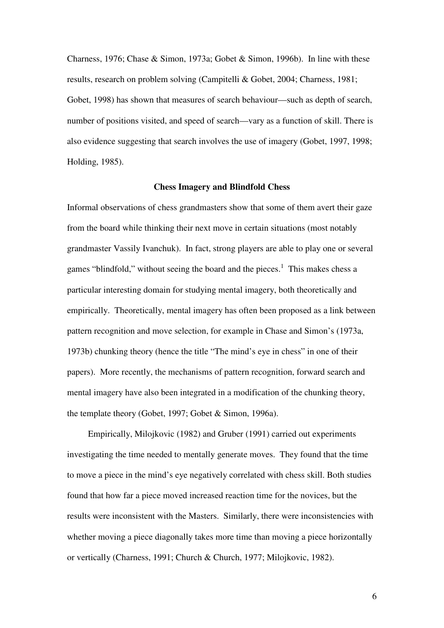Charness, 1976; Chase & Simon, 1973a; Gobet & Simon, 1996b). In line with these results, research on problem solving (Campitelli & Gobet, 2004; Charness, 1981; Gobet, 1998) has shown that measures of search behaviour—such as depth of search, number of positions visited, and speed of search—vary as a function of skill. There is also evidence suggesting that search involves the use of imagery (Gobet, 1997, 1998; Holding, 1985).

#### **Chess Imagery and Blindfold Chess**

Informal observations of chess grandmasters show that some of them avert their gaze from the board while thinking their next move in certain situations (most notably grandmaster Vassily Ivanchuk). In fact, strong players are able to play one or several games "blindfold," without seeing the board and the pieces. $<sup>1</sup>$  This makes chess a</sup> particular interesting domain for studying mental imagery, both theoretically and empirically. Theoretically, mental imagery has often been proposed as a link between pattern recognition and move selection, for example in Chase and Simon's (1973a, 1973b) chunking theory (hence the title "The mind's eye in chess" in one of their papers). More recently, the mechanisms of pattern recognition, forward search and mental imagery have also been integrated in a modification of the chunking theory, the template theory (Gobet, 1997; Gobet & Simon, 1996a).

Empirically, Milojkovic (1982) and Gruber (1991) carried out experiments investigating the time needed to mentally generate moves. They found that the time to move a piece in the mind's eye negatively correlated with chess skill. Both studies found that how far a piece moved increased reaction time for the novices, but the results were inconsistent with the Masters. Similarly, there were inconsistencies with whether moving a piece diagonally takes more time than moving a piece horizontally or vertically (Charness, 1991; Church & Church, 1977; Milojkovic, 1982).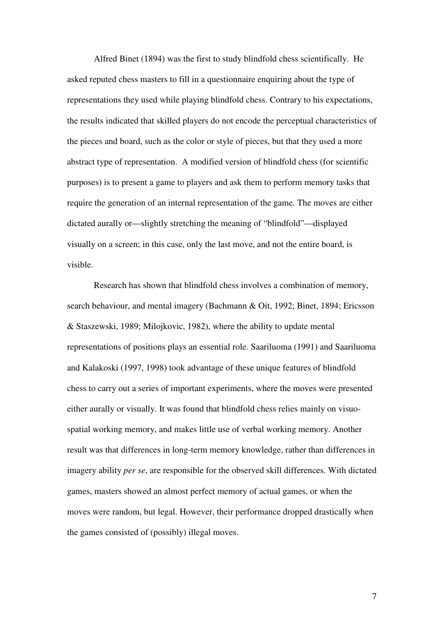Alfred Binet (1894) was the first to study blindfold chess scientifically. He asked reputed chess masters to fill in a questionnaire enquiring about the type of representations they used while playing blindfold chess. Contrary to his expectations, the results indicated that skilled players do not encode the perceptual characteristics of the pieces and board, such as the color or style of pieces, but that they used a more abstract type of representation. A modified version of blindfold chess (for scientific purposes) is to present a game to players and ask them to perform memory tasks that require the generation of an internal representation of the game. The moves are either dictated aurally or—slightly stretching the meaning of "blindfold"—displayed visually on a screen; in this case, only the last move, and not the entire board, is visible.

Research has shown that blindfold chess involves a combination of memory, search behaviour, and mental imagery (Bachmann & Oit, 1992; Binet, 1894; Ericsson & Staszewski, 1989; Milojkovic, 1982), where the ability to update mental representations of positions plays an essential role. Saariluoma (1991) and Saariluoma and Kalakoski (1997, 1998) took advantage of these unique features of blindfold chess to carry out a series of important experiments, where the moves were presented either aurally or visually. It was found that blindfold chess relies mainly on visuospatial working memory, and makes little use of verbal working memory. Another result was that differences in long-term memory knowledge, rather than differences in imagery ability *per se*, are responsible for the observed skill differences. With dictated games, masters showed an almost perfect memory of actual games, or when the moves were random, but legal. However, their performance dropped drastically when the games consisted of (possibly) illegal moves.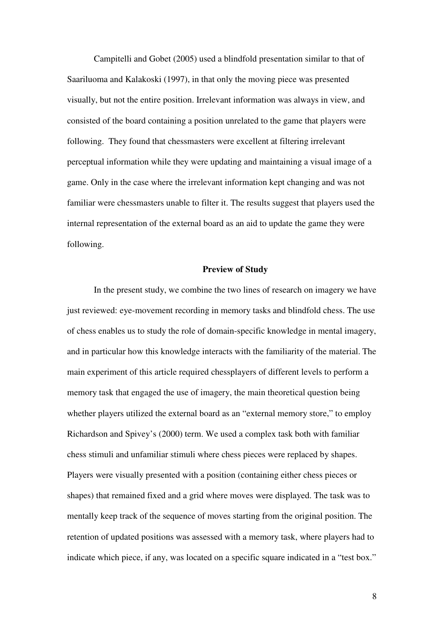Campitelli and Gobet (2005) used a blindfold presentation similar to that of Saariluoma and Kalakoski (1997), in that only the moving piece was presented visually, but not the entire position. Irrelevant information was always in view, and consisted of the board containing a position unrelated to the game that players were following. They found that chessmasters were excellent at filtering irrelevant perceptual information while they were updating and maintaining a visual image of a game. Only in the case where the irrelevant information kept changing and was not familiar were chessmasters unable to filter it. The results suggest that players used the internal representation of the external board as an aid to update the game they were following.

#### **Preview of Study**

 In the present study, we combine the two lines of research on imagery we have just reviewed: eye-movement recording in memory tasks and blindfold chess. The use of chess enables us to study the role of domain-specific knowledge in mental imagery, and in particular how this knowledge interacts with the familiarity of the material. The main experiment of this article required chessplayers of different levels to perform a memory task that engaged the use of imagery, the main theoretical question being whether players utilized the external board as an "external memory store," to employ Richardson and Spivey's (2000) term. We used a complex task both with familiar chess stimuli and unfamiliar stimuli where chess pieces were replaced by shapes. Players were visually presented with a position (containing either chess pieces or shapes) that remained fixed and a grid where moves were displayed. The task was to mentally keep track of the sequence of moves starting from the original position. The retention of updated positions was assessed with a memory task, where players had to indicate which piece, if any, was located on a specific square indicated in a "test box."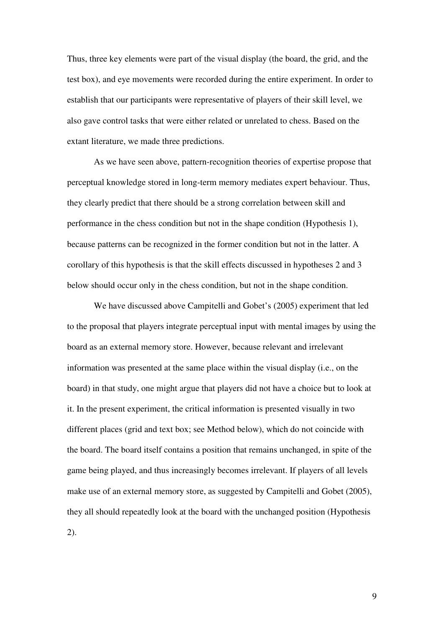Thus, three key elements were part of the visual display (the board, the grid, and the test box), and eye movements were recorded during the entire experiment. In order to establish that our participants were representative of players of their skill level, we also gave control tasks that were either related or unrelated to chess. Based on the extant literature, we made three predictions.

 As we have seen above, pattern-recognition theories of expertise propose that perceptual knowledge stored in long-term memory mediates expert behaviour. Thus, they clearly predict that there should be a strong correlation between skill and performance in the chess condition but not in the shape condition (Hypothesis 1), because patterns can be recognized in the former condition but not in the latter. A corollary of this hypothesis is that the skill effects discussed in hypotheses 2 and 3 below should occur only in the chess condition, but not in the shape condition.

We have discussed above Campitelli and Gobet's (2005) experiment that led to the proposal that players integrate perceptual input with mental images by using the board as an external memory store. However, because relevant and irrelevant information was presented at the same place within the visual display (i.e., on the board) in that study, one might argue that players did not have a choice but to look at it. In the present experiment, the critical information is presented visually in two different places (grid and text box; see Method below), which do not coincide with the board. The board itself contains a position that remains unchanged, in spite of the game being played, and thus increasingly becomes irrelevant. If players of all levels make use of an external memory store, as suggested by Campitelli and Gobet (2005), they all should repeatedly look at the board with the unchanged position (Hypothesis 2).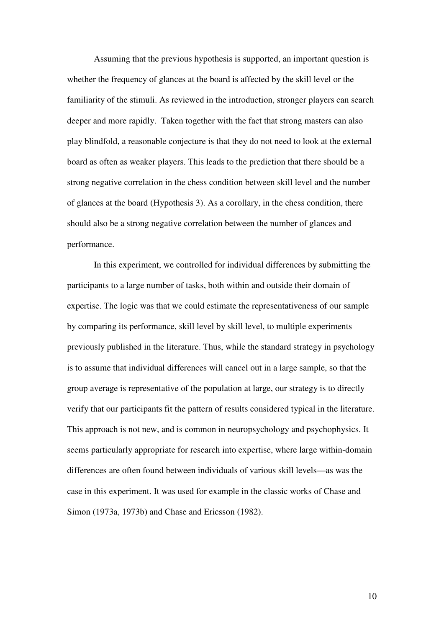Assuming that the previous hypothesis is supported, an important question is whether the frequency of glances at the board is affected by the skill level or the familiarity of the stimuli. As reviewed in the introduction, stronger players can search deeper and more rapidly. Taken together with the fact that strong masters can also play blindfold, a reasonable conjecture is that they do not need to look at the external board as often as weaker players. This leads to the prediction that there should be a strong negative correlation in the chess condition between skill level and the number of glances at the board (Hypothesis 3). As a corollary, in the chess condition, there should also be a strong negative correlation between the number of glances and performance.

In this experiment, we controlled for individual differences by submitting the participants to a large number of tasks, both within and outside their domain of expertise. The logic was that we could estimate the representativeness of our sample by comparing its performance, skill level by skill level, to multiple experiments previously published in the literature. Thus, while the standard strategy in psychology is to assume that individual differences will cancel out in a large sample, so that the group average is representative of the population at large, our strategy is to directly verify that our participants fit the pattern of results considered typical in the literature. This approach is not new, and is common in neuropsychology and psychophysics. It seems particularly appropriate for research into expertise, where large within-domain differences are often found between individuals of various skill levels—as was the case in this experiment. It was used for example in the classic works of Chase and Simon (1973a, 1973b) and Chase and Ericsson (1982).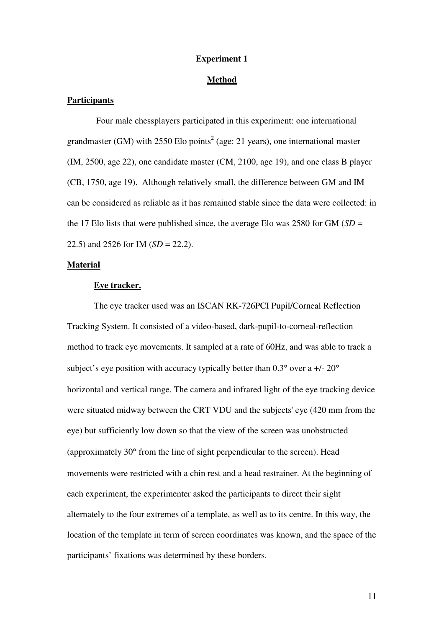#### **Experiment 1**

#### **Method**

#### **Participants**

 Four male chessplayers participated in this experiment: one international grandmaster (GM) with  $2550$  Elo points<sup>2</sup> (age: 21 years), one international master (IM, 2500, age 22), one candidate master (CM, 2100, age 19), and one class B player (CB, 1750, age 19). Although relatively small, the difference between GM and IM can be considered as reliable as it has remained stable since the data were collected: in the 17 Elo lists that were published since, the average Elo was 2580 for GM  $(SD =$ 22.5) and 2526 for IM (*SD* = 22.2).

#### **Material**

#### **Eye tracker.**

 The eye tracker used was an ISCAN RK-726PCI Pupil/Corneal Reflection Tracking System. It consisted of a video-based, dark-pupil-to-corneal-reflection method to track eye movements. It sampled at a rate of 60Hz, and was able to track a subject's eye position with accuracy typically better than  $0.3^{\circ}$  over a  $+/- 20^{\circ}$ horizontal and vertical range. The camera and infrared light of the eye tracking device were situated midway between the CRT VDU and the subjects' eye (420 mm from the eye) but sufficiently low down so that the view of the screen was unobstructed (approximately 30° from the line of sight perpendicular to the screen). Head movements were restricted with a chin rest and a head restrainer. At the beginning of each experiment, the experimenter asked the participants to direct their sight alternately to the four extremes of a template, as well as to its centre. In this way, the location of the template in term of screen coordinates was known, and the space of the participants' fixations was determined by these borders.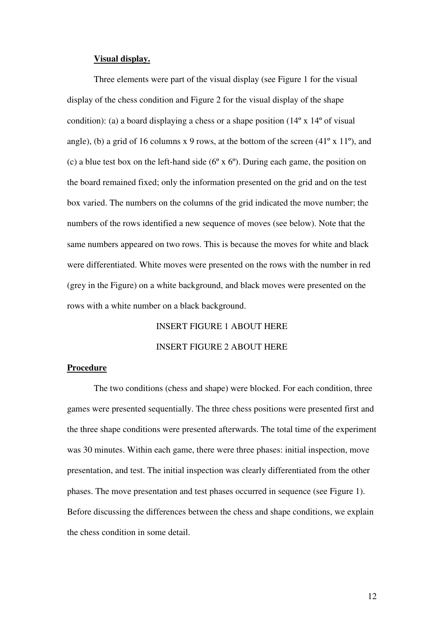#### **Visual display.**

Three elements were part of the visual display (see Figure 1 for the visual display of the chess condition and Figure 2 for the visual display of the shape condition): (a) a board displaying a chess or a shape position  $(14<sup>o</sup> x 14<sup>o</sup>$  of visual angle), (b) a grid of 16 columns x 9 rows, at the bottom of the screen  $(41^{\circ} \times 11^{\circ})$ , and (c) a blue test box on the left-hand side ( $6^{\circ}$  x  $6^{\circ}$ ). During each game, the position on the board remained fixed; only the information presented on the grid and on the test box varied. The numbers on the columns of the grid indicated the move number; the numbers of the rows identified a new sequence of moves (see below). Note that the same numbers appeared on two rows. This is because the moves for white and black were differentiated. White moves were presented on the rows with the number in red (grey in the Figure) on a white background, and black moves were presented on the rows with a white number on a black background.

# INSERT FIGURE 1 ABOUT HERE INSERT FIGURE 2 ABOUT HERE

#### **Procedure**

 The two conditions (chess and shape) were blocked. For each condition, three games were presented sequentially. The three chess positions were presented first and the three shape conditions were presented afterwards. The total time of the experiment was 30 minutes. Within each game, there were three phases: initial inspection, move presentation, and test. The initial inspection was clearly differentiated from the other phases. The move presentation and test phases occurred in sequence (see Figure 1). Before discussing the differences between the chess and shape conditions, we explain the chess condition in some detail.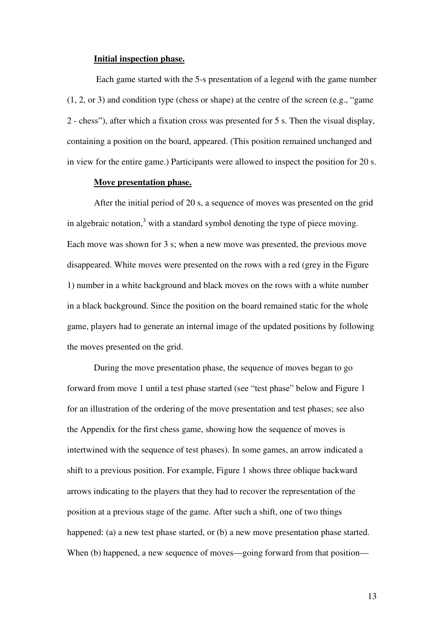#### **Initial inspection phase.**

 Each game started with the 5-s presentation of a legend with the game number (1, 2, or 3) and condition type (chess or shape) at the centre of the screen (e.g., "game 2 - chess"), after which a fixation cross was presented for 5 s. Then the visual display, containing a position on the board, appeared. (This position remained unchanged and in view for the entire game.) Participants were allowed to inspect the position for 20 s.

#### **Move presentation phase.**

 After the initial period of 20 s, a sequence of moves was presented on the grid in algebraic notation, $3$  with a standard symbol denoting the type of piece moving. Each move was shown for 3 s; when a new move was presented, the previous move disappeared. White moves were presented on the rows with a red (grey in the Figure 1) number in a white background and black moves on the rows with a white number in a black background. Since the position on the board remained static for the whole game, players had to generate an internal image of the updated positions by following the moves presented on the grid.

 During the move presentation phase, the sequence of moves began to go forward from move 1 until a test phase started (see "test phase" below and Figure 1 for an illustration of the ordering of the move presentation and test phases; see also the Appendix for the first chess game, showing how the sequence of moves is intertwined with the sequence of test phases). In some games, an arrow indicated a shift to a previous position. For example, Figure 1 shows three oblique backward arrows indicating to the players that they had to recover the representation of the position at a previous stage of the game. After such a shift, one of two things happened: (a) a new test phase started, or (b) a new move presentation phase started. When (b) happened, a new sequence of moves—going forward from that position—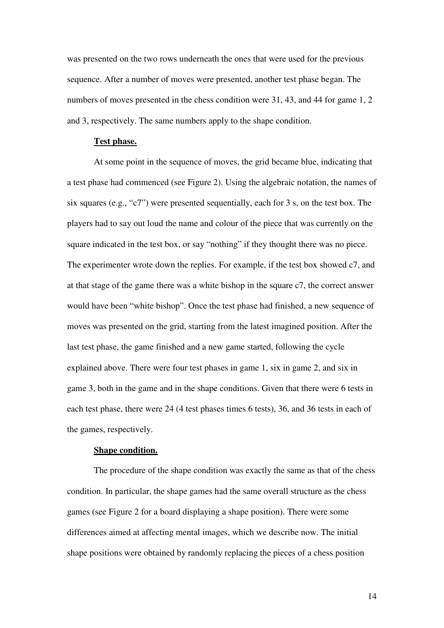was presented on the two rows underneath the ones that were used for the previous sequence. After a number of moves were presented, another test phase began. The numbers of moves presented in the chess condition were 31, 43, and 44 for game 1, 2 and 3, respectively. The same numbers apply to the shape condition.

#### **Test phase.**

 At some point in the sequence of moves, the grid became blue, indicating that a test phase had commenced (see Figure 2). Using the algebraic notation, the names of six squares (e.g., "c7") were presented sequentially, each for 3 s, on the test box. The players had to say out loud the name and colour of the piece that was currently on the square indicated in the test box, or say "nothing" if they thought there was no piece. The experimenter wrote down the replies. For example, if the test box showed c7, and at that stage of the game there was a white bishop in the square c7, the correct answer would have been "white bishop". Once the test phase had finished, a new sequence of moves was presented on the grid, starting from the latest imagined position. After the last test phase, the game finished and a new game started, following the cycle explained above. There were four test phases in game 1, six in game 2, and six in game 3, both in the game and in the shape conditions. Given that there were 6 tests in each test phase, there were 24 (4 test phases times 6 tests), 36, and 36 tests in each of the games, respectively.

#### **Shape condition.**

 The procedure of the shape condition was exactly the same as that of the chess condition. In particular, the shape games had the same overall structure as the chess games (see Figure 2 for a board displaying a shape position). There were some differences aimed at affecting mental images, which we describe now. The initial shape positions were obtained by randomly replacing the pieces of a chess position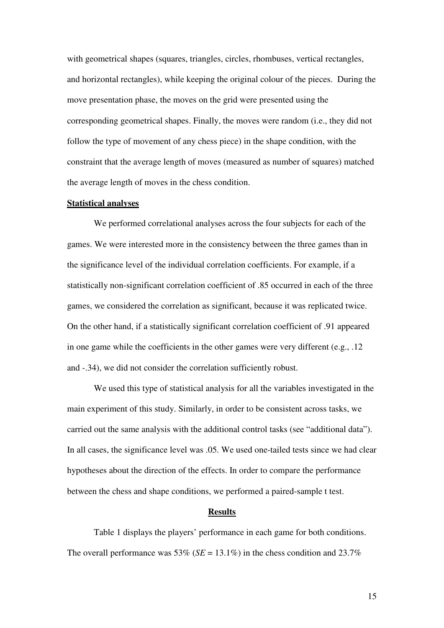with geometrical shapes (squares, triangles, circles, rhombuses, vertical rectangles, and horizontal rectangles), while keeping the original colour of the pieces. During the move presentation phase, the moves on the grid were presented using the corresponding geometrical shapes. Finally, the moves were random (i.e., they did not follow the type of movement of any chess piece) in the shape condition, with the constraint that the average length of moves (measured as number of squares) matched the average length of moves in the chess condition.

#### **Statistical analyses**

 We performed correlational analyses across the four subjects for each of the games. We were interested more in the consistency between the three games than in the significance level of the individual correlation coefficients. For example, if a statistically non-significant correlation coefficient of .85 occurred in each of the three games, we considered the correlation as significant, because it was replicated twice. On the other hand, if a statistically significant correlation coefficient of .91 appeared in one game while the coefficients in the other games were very different (e.g., .12 and -.34), we did not consider the correlation sufficiently robust.

 We used this type of statistical analysis for all the variables investigated in the main experiment of this study. Similarly, in order to be consistent across tasks, we carried out the same analysis with the additional control tasks (see "additional data"). In all cases, the significance level was .05. We used one-tailed tests since we had clear hypotheses about the direction of the effects. In order to compare the performance between the chess and shape conditions, we performed a paired-sample t test.

#### **Results**

Table 1 displays the players' performance in each game for both conditions. The overall performance was  $53\%$  (*SE* = 13.1%) in the chess condition and  $23.7\%$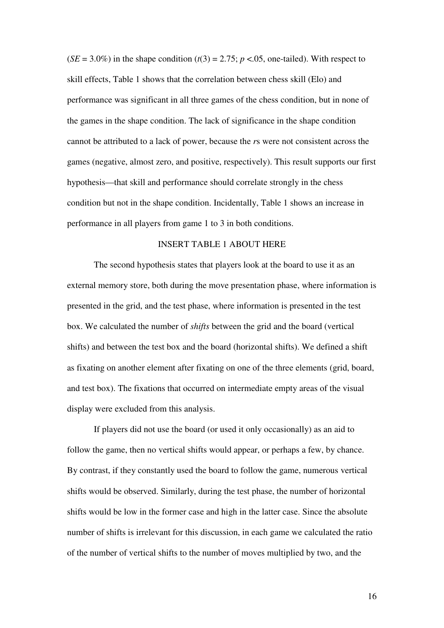$(SE = 3.0\%)$  in the shape condition  $(t(3) = 2.75; p < 0.05$ , one-tailed). With respect to skill effects, Table 1 shows that the correlation between chess skill (Elo) and performance was significant in all three games of the chess condition, but in none of the games in the shape condition. The lack of significance in the shape condition cannot be attributed to a lack of power, because the *r*s were not consistent across the games (negative, almost zero, and positive, respectively). This result supports our first hypothesis—that skill and performance should correlate strongly in the chess condition but not in the shape condition. Incidentally, Table 1 shows an increase in performance in all players from game 1 to 3 in both conditions.

### INSERT TABLE 1 ABOUT HERE

 The second hypothesis states that players look at the board to use it as an external memory store, both during the move presentation phase, where information is presented in the grid, and the test phase, where information is presented in the test box. We calculated the number of *shifts* between the grid and the board (vertical shifts) and between the test box and the board (horizontal shifts). We defined a shift as fixating on another element after fixating on one of the three elements (grid, board, and test box). The fixations that occurred on intermediate empty areas of the visual display were excluded from this analysis.

 If players did not use the board (or used it only occasionally) as an aid to follow the game, then no vertical shifts would appear, or perhaps a few, by chance. By contrast, if they constantly used the board to follow the game, numerous vertical shifts would be observed. Similarly, during the test phase, the number of horizontal shifts would be low in the former case and high in the latter case. Since the absolute number of shifts is irrelevant for this discussion, in each game we calculated the ratio of the number of vertical shifts to the number of moves multiplied by two, and the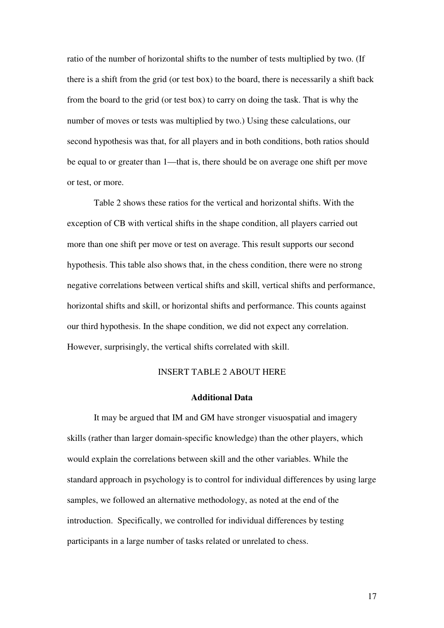ratio of the number of horizontal shifts to the number of tests multiplied by two. (If there is a shift from the grid (or test box) to the board, there is necessarily a shift back from the board to the grid (or test box) to carry on doing the task. That is why the number of moves or tests was multiplied by two.) Using these calculations, our second hypothesis was that, for all players and in both conditions, both ratios should be equal to or greater than 1—that is, there should be on average one shift per move or test, or more.

 Table 2 shows these ratios for the vertical and horizontal shifts. With the exception of CB with vertical shifts in the shape condition, all players carried out more than one shift per move or test on average. This result supports our second hypothesis. This table also shows that, in the chess condition, there were no strong negative correlations between vertical shifts and skill, vertical shifts and performance, horizontal shifts and skill, or horizontal shifts and performance. This counts against our third hypothesis. In the shape condition, we did not expect any correlation. However, surprisingly, the vertical shifts correlated with skill.

### INSERT TABLE 2 ABOUT HERE

#### **Additional Data**

 It may be argued that IM and GM have stronger visuospatial and imagery skills (rather than larger domain-specific knowledge) than the other players, which would explain the correlations between skill and the other variables. While the standard approach in psychology is to control for individual differences by using large samples, we followed an alternative methodology, as noted at the end of the introduction. Specifically, we controlled for individual differences by testing participants in a large number of tasks related or unrelated to chess.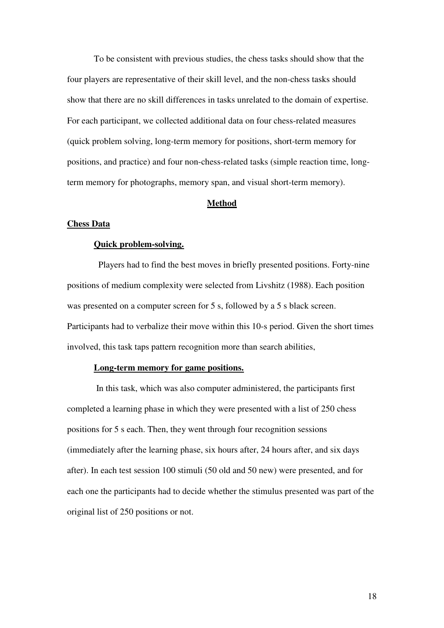To be consistent with previous studies, the chess tasks should show that the four players are representative of their skill level, and the non-chess tasks should show that there are no skill differences in tasks unrelated to the domain of expertise. For each participant, we collected additional data on four chess-related measures (quick problem solving, long-term memory for positions, short-term memory for positions, and practice) and four non-chess-related tasks (simple reaction time, longterm memory for photographs, memory span, and visual short-term memory).

#### **Method**

#### **Chess Data**

#### **Quick problem-solving.**

Players had to find the best moves in briefly presented positions. Forty-nine positions of medium complexity were selected from Livshitz (1988). Each position was presented on a computer screen for 5 s, followed by a 5 s black screen. Participants had to verbalize their move within this 10-s period. Given the short times involved, this task taps pattern recognition more than search abilities,

#### **Long-term memory for game positions.**

 In this task, which was also computer administered, the participants first completed a learning phase in which they were presented with a list of 250 chess positions for 5 s each. Then, they went through four recognition sessions (immediately after the learning phase, six hours after, 24 hours after, and six days after). In each test session 100 stimuli (50 old and 50 new) were presented, and for each one the participants had to decide whether the stimulus presented was part of the original list of 250 positions or not.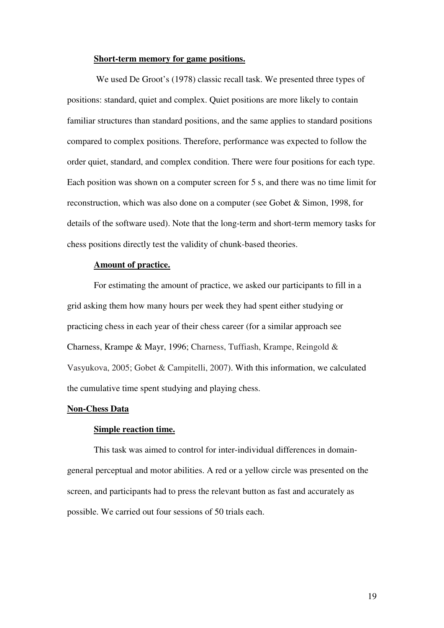#### **Short-term memory for game positions.**

 We used De Groot's (1978) classic recall task. We presented three types of positions: standard, quiet and complex. Quiet positions are more likely to contain familiar structures than standard positions, and the same applies to standard positions compared to complex positions. Therefore, performance was expected to follow the order quiet, standard, and complex condition. There were four positions for each type. Each position was shown on a computer screen for 5 s, and there was no time limit for reconstruction, which was also done on a computer (see Gobet & Simon, 1998, for details of the software used). Note that the long-term and short-term memory tasks for chess positions directly test the validity of chunk-based theories.

### **Amount of practice.**

For estimating the amount of practice, we asked our participants to fill in a grid asking them how many hours per week they had spent either studying or practicing chess in each year of their chess career (for a similar approach see Charness, Krampe & Mayr, 1996; Charness, Tuffiash, Krampe, Reingold & Vasyukova, 2005; Gobet & Campitelli, 2007). With this information, we calculated the cumulative time spent studying and playing chess.

#### **Non-Chess Data**

#### **Simple reaction time.**

This task was aimed to control for inter-individual differences in domaingeneral perceptual and motor abilities. A red or a yellow circle was presented on the screen, and participants had to press the relevant button as fast and accurately as possible. We carried out four sessions of 50 trials each.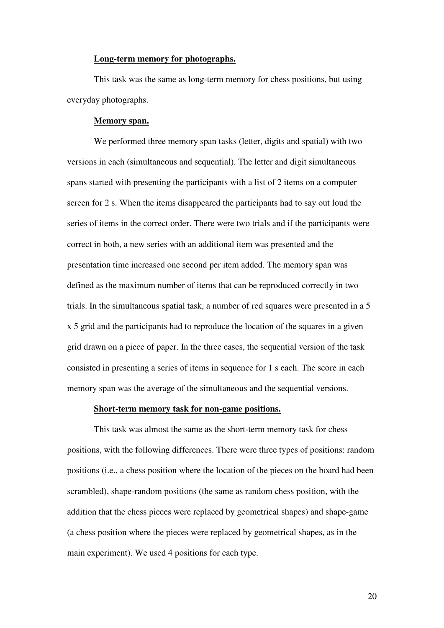#### **Long-term memory for photographs.**

This task was the same as long-term memory for chess positions, but using everyday photographs.

#### **Memory span.**

We performed three memory span tasks (letter, digits and spatial) with two versions in each (simultaneous and sequential). The letter and digit simultaneous spans started with presenting the participants with a list of 2 items on a computer screen for 2 s. When the items disappeared the participants had to say out loud the series of items in the correct order. There were two trials and if the participants were correct in both, a new series with an additional item was presented and the presentation time increased one second per item added. The memory span was defined as the maximum number of items that can be reproduced correctly in two trials. In the simultaneous spatial task, a number of red squares were presented in a 5 x 5 grid and the participants had to reproduce the location of the squares in a given grid drawn on a piece of paper. In the three cases, the sequential version of the task consisted in presenting a series of items in sequence for 1 s each. The score in each memory span was the average of the simultaneous and the sequential versions.

### **Short-term memory task for non-game positions.**

This task was almost the same as the short-term memory task for chess positions, with the following differences. There were three types of positions: random positions (i.e., a chess position where the location of the pieces on the board had been scrambled), shape-random positions (the same as random chess position, with the addition that the chess pieces were replaced by geometrical shapes) and shape-game (a chess position where the pieces were replaced by geometrical shapes, as in the main experiment). We used 4 positions for each type.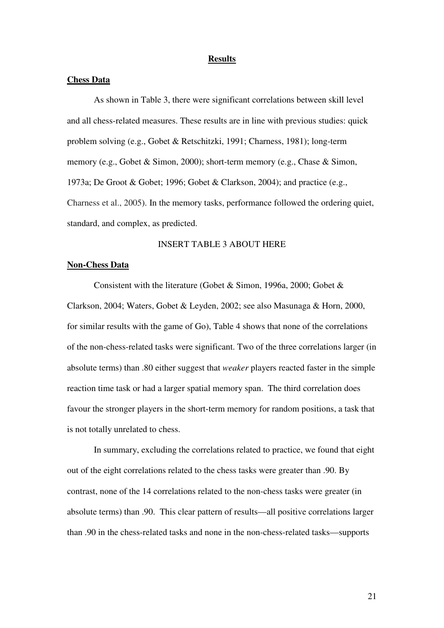#### **Results**

#### **Chess Data**

As shown in Table 3, there were significant correlations between skill level and all chess-related measures. These results are in line with previous studies: quick problem solving (e.g., Gobet & Retschitzki, 1991; Charness, 1981); long-term memory (e.g., Gobet & Simon, 2000); short-term memory (e.g., Chase & Simon, 1973a; De Groot & Gobet; 1996; Gobet & Clarkson, 2004); and practice (e.g., Charness et al., 2005). In the memory tasks, performance followed the ordering quiet, standard, and complex, as predicted.

### INSERT TABLE 3 ABOUT HERE

#### **Non-Chess Data**

 Consistent with the literature (Gobet & Simon, 1996a, 2000; Gobet & Clarkson, 2004; Waters, Gobet & Leyden, 2002; see also Masunaga & Horn, 2000, for similar results with the game of Go), Table 4 shows that none of the correlations of the non-chess-related tasks were significant. Two of the three correlations larger (in absolute terms) than .80 either suggest that *weaker* players reacted faster in the simple reaction time task or had a larger spatial memory span. The third correlation does favour the stronger players in the short-term memory for random positions, a task that is not totally unrelated to chess.

 In summary, excluding the correlations related to practice, we found that eight out of the eight correlations related to the chess tasks were greater than .90. By contrast, none of the 14 correlations related to the non-chess tasks were greater (in absolute terms) than .90. This clear pattern of results—all positive correlations larger than .90 in the chess-related tasks and none in the non-chess-related tasks—supports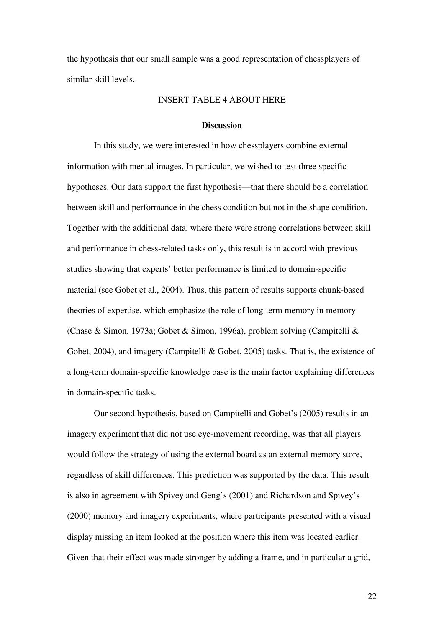the hypothesis that our small sample was a good representation of chessplayers of similar skill levels.

#### INSERT TABLE 4 ABOUT HERE

#### **Discussion**

In this study, we were interested in how chessplayers combine external information with mental images. In particular, we wished to test three specific hypotheses. Our data support the first hypothesis—that there should be a correlation between skill and performance in the chess condition but not in the shape condition. Together with the additional data, where there were strong correlations between skill and performance in chess-related tasks only, this result is in accord with previous studies showing that experts' better performance is limited to domain-specific material (see Gobet et al., 2004). Thus, this pattern of results supports chunk-based theories of expertise, which emphasize the role of long-term memory in memory (Chase & Simon, 1973a; Gobet & Simon, 1996a), problem solving (Campitelli & Gobet, 2004), and imagery (Campitelli & Gobet, 2005) tasks. That is, the existence of a long-term domain-specific knowledge base is the main factor explaining differences in domain-specific tasks.

Our second hypothesis, based on Campitelli and Gobet's (2005) results in an imagery experiment that did not use eye-movement recording, was that all players would follow the strategy of using the external board as an external memory store, regardless of skill differences. This prediction was supported by the data. This result is also in agreement with Spivey and Geng's (2001) and Richardson and Spivey's (2000) memory and imagery experiments, where participants presented with a visual display missing an item looked at the position where this item was located earlier. Given that their effect was made stronger by adding a frame, and in particular a grid,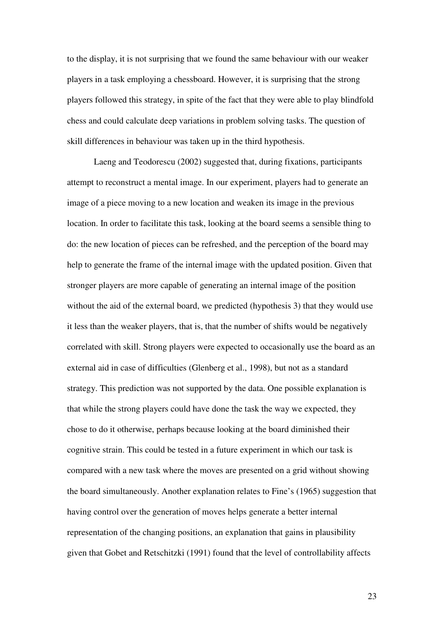to the display, it is not surprising that we found the same behaviour with our weaker players in a task employing a chessboard. However, it is surprising that the strong players followed this strategy, in spite of the fact that they were able to play blindfold chess and could calculate deep variations in problem solving tasks. The question of skill differences in behaviour was taken up in the third hypothesis.

Laeng and Teodorescu (2002) suggested that, during fixations, participants attempt to reconstruct a mental image. In our experiment, players had to generate an image of a piece moving to a new location and weaken its image in the previous location. In order to facilitate this task, looking at the board seems a sensible thing to do: the new location of pieces can be refreshed, and the perception of the board may help to generate the frame of the internal image with the updated position. Given that stronger players are more capable of generating an internal image of the position without the aid of the external board, we predicted (hypothesis 3) that they would use it less than the weaker players, that is, that the number of shifts would be negatively correlated with skill. Strong players were expected to occasionally use the board as an external aid in case of difficulties (Glenberg et al., 1998), but not as a standard strategy. This prediction was not supported by the data. One possible explanation is that while the strong players could have done the task the way we expected, they chose to do it otherwise, perhaps because looking at the board diminished their cognitive strain. This could be tested in a future experiment in which our task is compared with a new task where the moves are presented on a grid without showing the board simultaneously. Another explanation relates to Fine's (1965) suggestion that having control over the generation of moves helps generate a better internal representation of the changing positions, an explanation that gains in plausibility given that Gobet and Retschitzki (1991) found that the level of controllability affects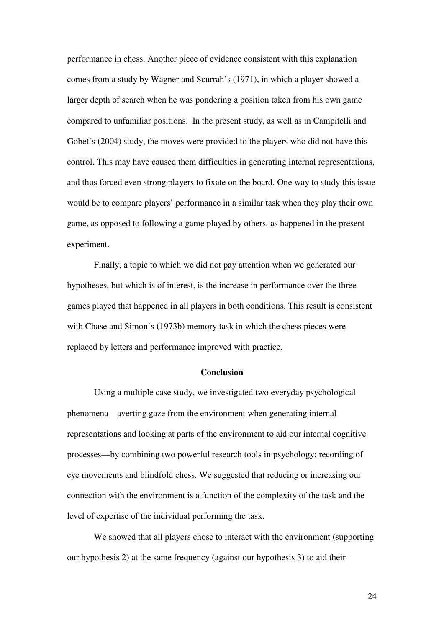performance in chess. Another piece of evidence consistent with this explanation comes from a study by Wagner and Scurrah's (1971), in which a player showed a larger depth of search when he was pondering a position taken from his own game compared to unfamiliar positions. In the present study, as well as in Campitelli and Gobet's (2004) study, the moves were provided to the players who did not have this control. This may have caused them difficulties in generating internal representations, and thus forced even strong players to fixate on the board. One way to study this issue would be to compare players' performance in a similar task when they play their own game, as opposed to following a game played by others, as happened in the present experiment.

 Finally, a topic to which we did not pay attention when we generated our hypotheses, but which is of interest, is the increase in performance over the three games played that happened in all players in both conditions. This result is consistent with Chase and Simon's (1973b) memory task in which the chess pieces were replaced by letters and performance improved with practice.

#### **Conclusion**

 Using a multiple case study, we investigated two everyday psychological phenomena—averting gaze from the environment when generating internal representations and looking at parts of the environment to aid our internal cognitive processes—by combining two powerful research tools in psychology: recording of eye movements and blindfold chess. We suggested that reducing or increasing our connection with the environment is a function of the complexity of the task and the level of expertise of the individual performing the task.

 We showed that all players chose to interact with the environment (supporting our hypothesis 2) at the same frequency (against our hypothesis 3) to aid their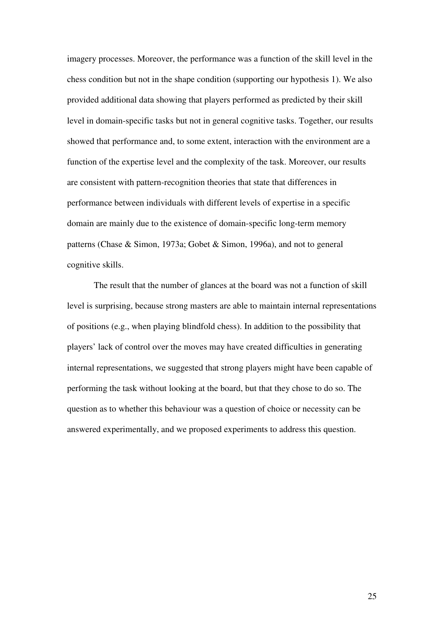imagery processes. Moreover, the performance was a function of the skill level in the chess condition but not in the shape condition (supporting our hypothesis 1). We also provided additional data showing that players performed as predicted by their skill level in domain-specific tasks but not in general cognitive tasks. Together, our results showed that performance and, to some extent, interaction with the environment are a function of the expertise level and the complexity of the task. Moreover, our results are consistent with pattern-recognition theories that state that differences in performance between individuals with different levels of expertise in a specific domain are mainly due to the existence of domain-specific long-term memory patterns (Chase & Simon, 1973a; Gobet & Simon, 1996a), and not to general cognitive skills.

The result that the number of glances at the board was not a function of skill level is surprising, because strong masters are able to maintain internal representations of positions (e.g., when playing blindfold chess). In addition to the possibility that players' lack of control over the moves may have created difficulties in generating internal representations, we suggested that strong players might have been capable of performing the task without looking at the board, but that they chose to do so. The question as to whether this behaviour was a question of choice or necessity can be answered experimentally, and we proposed experiments to address this question.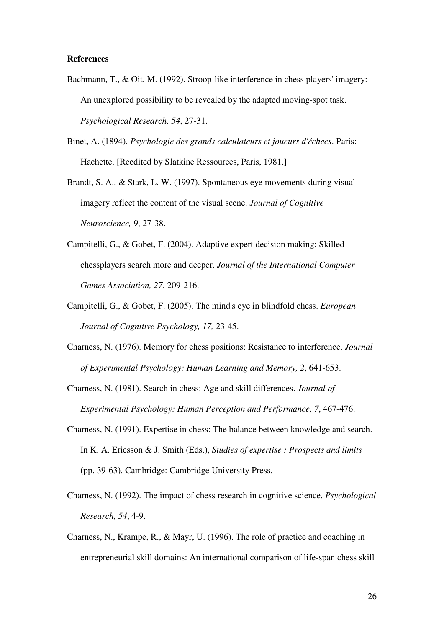#### **References**

- Bachmann, T., & Oit, M. (1992). Stroop-like interference in chess players' imagery: An unexplored possibility to be revealed by the adapted moving-spot task. *Psychological Research, 54*, 27-31.
- Binet, A. (1894). *Psychologie des grands calculateurs et joueurs d'échecs*. Paris: Hachette. [Reedited by Slatkine Ressources, Paris, 1981.]
- Brandt, S. A., & Stark, L. W. (1997). Spontaneous eye movements during visual imagery reflect the content of the visual scene. *Journal of Cognitive Neuroscience, 9*, 27-38.
- Campitelli, G., & Gobet, F. (2004). Adaptive expert decision making: Skilled chessplayers search more and deeper. *Journal of the International Computer Games Association, 27*, 209-216.
- Campitelli, G., & Gobet, F. (2005). The mind's eye in blindfold chess. *European Journal of Cognitive Psychology, 17,* 23-45.
- Charness, N. (1976). Memory for chess positions: Resistance to interference. *Journal of Experimental Psychology: Human Learning and Memory, 2*, 641-653.
- Charness, N. (1981). Search in chess: Age and skill differences. *Journal of Experimental Psychology: Human Perception and Performance, 7*, 467-476.
- Charness, N. (1991). Expertise in chess: The balance between knowledge and search. In K. A. Ericsson & J. Smith (Eds.), *Studies of expertise : Prospects and limits* (pp. 39-63). Cambridge: Cambridge University Press.
- Charness, N. (1992). The impact of chess research in cognitive science. *Psychological Research, 54*, 4-9.
- Charness, N., Krampe, R., & Mayr, U. (1996). The role of practice and coaching in entrepreneurial skill domains: An international comparison of life-span chess skill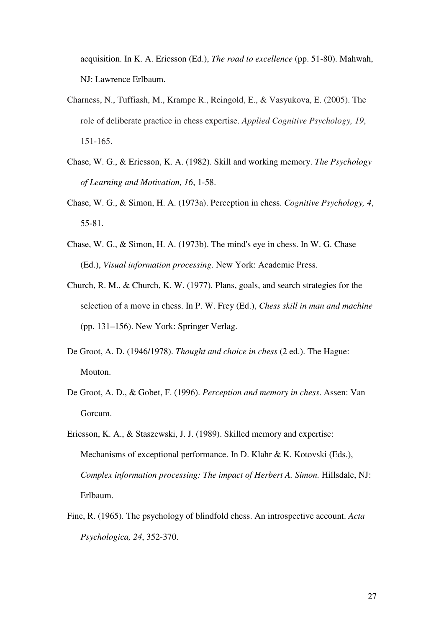acquisition. In K. A. Ericsson (Ed.), *The road to excellence* (pp. 51-80). Mahwah, NJ: Lawrence Erlbaum.

- Charness, N., Tuffiash, M., Krampe R., Reingold, E., & Vasyukova, E. (2005). The role of deliberate practice in chess expertise. *Applied Cognitive Psychology, 19*, 151-165.
- Chase, W. G., & Ericsson, K. A. (1982). Skill and working memory. *The Psychology of Learning and Motivation, 16*, 1-58.
- Chase, W. G., & Simon, H. A. (1973a). Perception in chess. *Cognitive Psychology, 4*, 55-81.
- Chase, W. G., & Simon, H. A. (1973b). The mind's eye in chess. In W. G. Chase (Ed.), *Visual information processing*. New York: Academic Press.
- Church, R. M., & Church, K. W. (1977). Plans, goals, and search strategies for the selection of a move in chess. In P. W. Frey (Ed.), *Chess skill in man and machine*  (pp. 131–156). New York: Springer Verlag.
- De Groot, A. D. (1946/1978). *Thought and choice in chess* (2 ed.). The Hague: Mouton.
- De Groot, A. D., & Gobet, F. (1996). *Perception and memory in chess*. Assen: Van Gorcum.
- Ericsson, K. A., & Staszewski, J. J. (1989). Skilled memory and expertise: Mechanisms of exceptional performance. In D. Klahr & K. Kotovski (Eds.), *Complex information processing: The impact of Herbert A. Simon.* Hillsdale, NJ: Erlbaum.
- Fine, R. (1965). The psychology of blindfold chess. An introspective account. *Acta Psychologica, 24*, 352-370.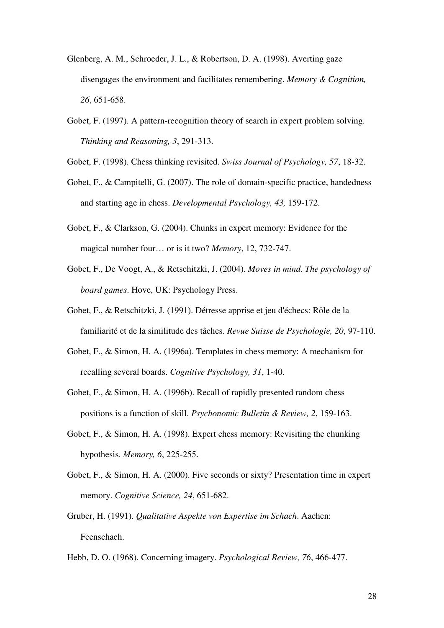- Glenberg, A. M., Schroeder, J. L., & Robertson, D. A. (1998). Averting gaze disengages the environment and facilitates remembering. *Memory & Cognition, 26*, 651-658.
- Gobet, F. (1997). A pattern-recognition theory of search in expert problem solving. *Thinking and Reasoning, 3*, 291-313.
- Gobet, F. (1998). Chess thinking revisited. *Swiss Journal of Psychology, 57*, 18-32.
- Gobet, F., & Campitelli, G. (2007). The role of domain-specific practice, handedness and starting age in chess. *Developmental Psychology, 43,* 159-172.
- Gobet, F., & Clarkson, G. (2004). Chunks in expert memory: Evidence for the magical number four… or is it two? *Memory*, 12, 732-747.
- Gobet, F., De Voogt, A., & Retschitzki, J. (2004). *Moves in mind. The psychology of board games*. Hove, UK: Psychology Press.
- Gobet, F., & Retschitzki, J. (1991). Détresse apprise et jeu d'échecs: Rôle de la familiarité et de la similitude des tâches. *Revue Suisse de Psychologie, 20*, 97-110.
- Gobet, F., & Simon, H. A. (1996a). Templates in chess memory: A mechanism for recalling several boards. *Cognitive Psychology, 31*, 1-40.
- Gobet, F., & Simon, H. A. (1996b). Recall of rapidly presented random chess positions is a function of skill. *Psychonomic Bulletin & Review, 2*, 159-163.
- Gobet, F., & Simon, H. A. (1998). Expert chess memory: Revisiting the chunking hypothesis. *Memory, 6*, 225-255.
- Gobet, F., & Simon, H. A. (2000). Five seconds or sixty? Presentation time in expert memory. *Cognitive Science, 24*, 651-682.
- Gruber, H. (1991). *Qualitative Aspekte von Expertise im Schach*. Aachen: Feenschach.
- Hebb, D. O. (1968). Concerning imagery. *Psychological Review, 76*, 466-477.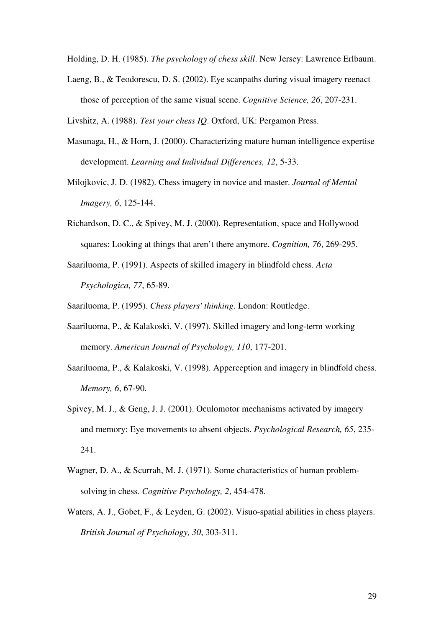Holding, D. H. (1985). *The psychology of chess skill*. New Jersey: Lawrence Erlbaum.

Laeng, B., & Teodorescu, D. S. (2002). Eye scanpaths during visual imagery reenact those of perception of the same visual scene. *Cognitive Science, 26*, 207-231.

Livshitz, A. (1988). *Test your chess IQ*. Oxford, UK: Pergamon Press.

- Masunaga, H., & Horn, J. (2000). Characterizing mature human intelligence expertise development. *Learning and Individual Differences, 12*, 5-33.
- Milojkovic, J. D. (1982). Chess imagery in novice and master. *Journal of Mental Imagery, 6*, 125-144.
- Richardson, D. C., & Spivey, M. J. (2000). Representation, space and Hollywood squares: Looking at things that aren't there anymore. *Cognition, 76*, 269-295.
- Saariluoma, P. (1991). Aspects of skilled imagery in blindfold chess. *Acta Psychologica, 77*, 65-89.

Saariluoma, P. (1995). *Chess players' thinking*. London: Routledge.

- Saariluoma, P., & Kalakoski, V. (1997). Skilled imagery and long-term working memory. *American Journal of Psychology, 110*, 177-201.
- Saariluoma, P., & Kalakoski, V. (1998). Apperception and imagery in blindfold chess. *Memory, 6*, 67-90.
- Spivey, M. J., & Geng, J. J. (2001). Oculomotor mechanisms activated by imagery and memory: Eye movements to absent objects. *Psychological Research, 65*, 235- 241.
- Wagner, D. A., & Scurrah, M. J. (1971). Some characteristics of human problemsolving in chess. *Cognitive Psychology, 2*, 454-478.
- Waters, A. J., Gobet, F., & Leyden, G. (2002). Visuo-spatial abilities in chess players. *British Journal of Psychology, 30*, 303-311.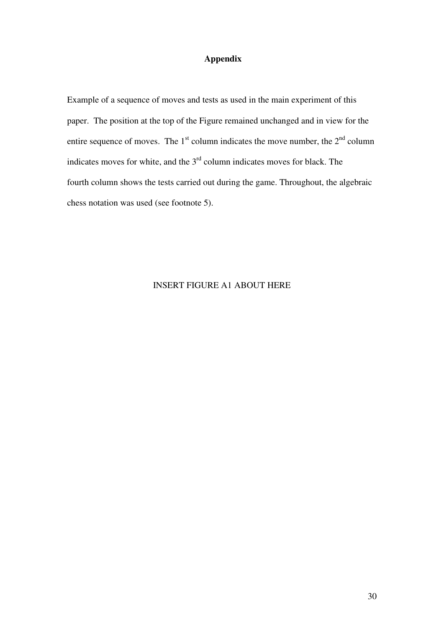### **Appendix**

Example of a sequence of moves and tests as used in the main experiment of this paper. The position at the top of the Figure remained unchanged and in view for the entire sequence of moves. The  $1<sup>st</sup>$  column indicates the move number, the  $2<sup>nd</sup>$  column indicates moves for white, and the  $3<sup>rd</sup>$  column indicates moves for black. The fourth column shows the tests carried out during the game. Throughout, the algebraic chess notation was used (see footnote 5).

### INSERT FIGURE A1 ABOUT HERE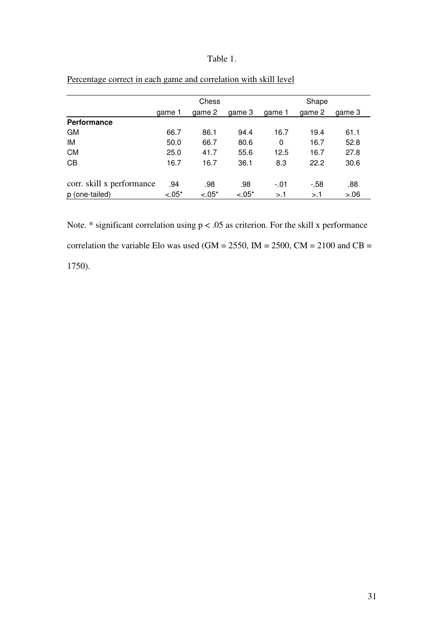### Table 1.

|                           |         | Chess   |         |        | Shape  |        |
|---------------------------|---------|---------|---------|--------|--------|--------|
|                           | game 1  | qame 2  | game 3  | qame 1 | qame 2 | qame 3 |
| Performance               |         |         |         |        |        |        |
| GМ                        | 66.7    | 86.1    | 94.4    | 16.7   | 19.4   | 61.1   |
| IM                        | 50.0    | 66.7    | 80.6    | 0      | 16.7   | 52.8   |
| <b>CM</b>                 | 25.0    | 41.7    | 55.6    | 12.5   | 16.7   | 27.8   |
| CB                        | 16.7    | 16.7    | 36.1    | 8.3    | 22.2   | 30.6   |
| corr. skill x performance | .94     | .98     | .98     | $-.01$ | $-58$  | .88    |
| p (one-tailed)            | $-.05*$ | $-.05*$ | $-.05*$ | >1     | >1     | > 0.06 |

# Percentage correct in each game and correlation with skill level

Note.  $*$  significant correlation using  $p < 0.05$  as criterion. For the skill x performance correlation the variable Elo was used (GM = 2550, IM = 2500, CM = 2100 and CB = 1750).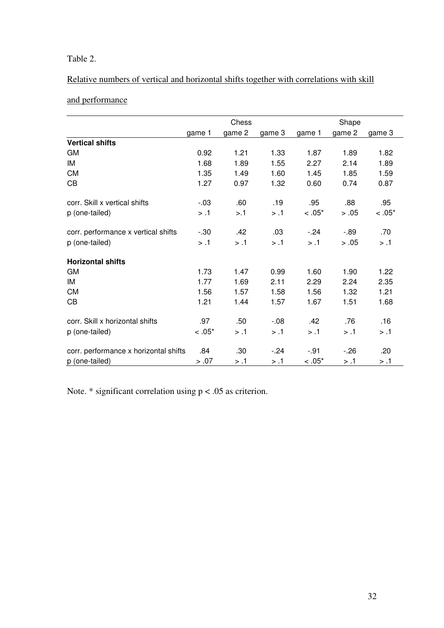# Table 2.

# Relative numbers of vertical and horizontal shifts together with correlations with skill

# and performance

|                                       |          | Chess  |         |           | Shape  |          |
|---------------------------------------|----------|--------|---------|-----------|--------|----------|
|                                       | game 1   | game 2 | game 3  | game 1    | game 2 | game 3   |
| <b>Vertical shifts</b>                |          |        |         |           |        |          |
| <b>GM</b>                             | 0.92     | 1.21   | 1.33    | 1.87      | 1.89   | 1.82     |
| IM                                    | 1.68     | 1.89   | 1.55    | 2.27      | 2.14   | 1.89     |
| <b>CM</b>                             | 1.35     | 1.49   | 1.60    | 1.45      | 1.85   | 1.59     |
| CB                                    | 1.27     | 0.97   | 1.32    | 0.60      | 0.74   | 0.87     |
| corr. Skill x vertical shifts         | $-.03$   | .60    | .19     | .95       | .88    | .95      |
| p (one-tailed)                        | > .1     | > 1    | > .1    | $< .05*$  | > .05  | $< .05*$ |
| corr. performance x vertical shifts   | $-30$    | .42    | .03     | $-.24$    | $-.89$ | .70      |
| p (one-tailed)                        | > .1     | > .1   | > .1    | > .1      | > .05  | > .1     |
| <b>Horizontal shifts</b>              |          |        |         |           |        |          |
| <b>GM</b>                             | 1.73     | 1.47   | 0.99    | 1.60      | 1.90   | 1.22     |
| IM                                    | 1.77     | 1.69   | 2.11    | 2.29      | 2.24   | 2.35     |
| <b>CM</b>                             | 1.56     | 1.57   | 1.58    | 1.56      | 1.32   | 1.21     |
| CB                                    | 1.21     | 1.44   | 1.57    | 1.67      | 1.51   | 1.68     |
| corr. Skill x horizontal shifts       | .97      | .50    | $-0.08$ | .42       | .76    | .16      |
| p (one-tailed)                        | $< .05*$ | > .1   | > .1    | > .1      | > .1   | > .1     |
| corr. performance x horizontal shifts | .84      | .30    | $-.24$  | $-.91$    | $-26$  | .20      |
| p (one-tailed)                        | > .07    | 1. <   | 1. <    | $< 0.05*$ | 1. <   | > .1     |

Note. \* significant correlation using p < .05 as criterion.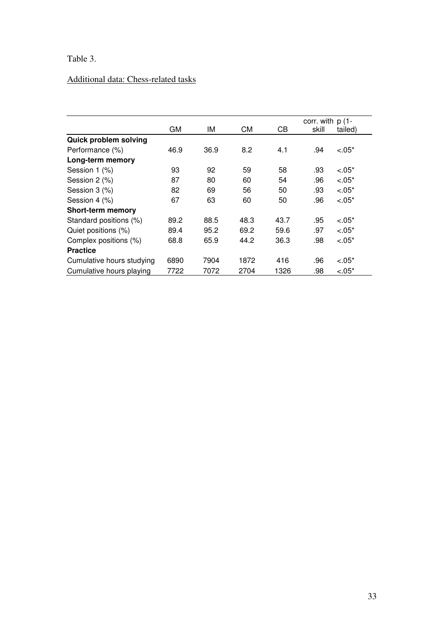# Table 3.

# Additional data: Chess-related tasks

|                           |      |      |      |      | corr. with $p(1 -$ |         |
|---------------------------|------|------|------|------|--------------------|---------|
|                           | GM   | IМ   | СM   | CВ   | skill              | tailed) |
| Quick problem solving     |      |      |      |      |                    |         |
| Performance (%)           | 46.9 | 36.9 | 8.2  | 4.1  | .94                | $-.05*$ |
| Long-term memory          |      |      |      |      |                    |         |
| Session 1 (%)             | 93   | 92   | 59   | 58   | .93                | $-.05*$ |
| Session 2 (%)             | 87   | 80   | 60   | 54   | .96                | $-.05*$ |
| Session 3 (%)             | 82   | 69   | 56   | 50   | .93                | $-.05*$ |
| Session 4 (%)             | 67   | 63   | 60   | 50   | .96                | $-.05*$ |
| <b>Short-term memory</b>  |      |      |      |      |                    |         |
| Standard positions (%)    | 89.2 | 88.5 | 48.3 | 43.7 | .95                | $-.05*$ |
| Quiet positions (%)       | 89.4 | 95.2 | 69.2 | 59.6 | .97                | $-.05*$ |
| Complex positions (%)     | 68.8 | 65.9 | 44.2 | 36.3 | .98                | $-.05*$ |
| <b>Practice</b>           |      |      |      |      |                    |         |
| Cumulative hours studying | 6890 | 7904 | 1872 | 416  | .96                | $-.05*$ |
| Cumulative hours playing  | 7722 | 7072 | 2704 | 1326 | .98                | $-.05*$ |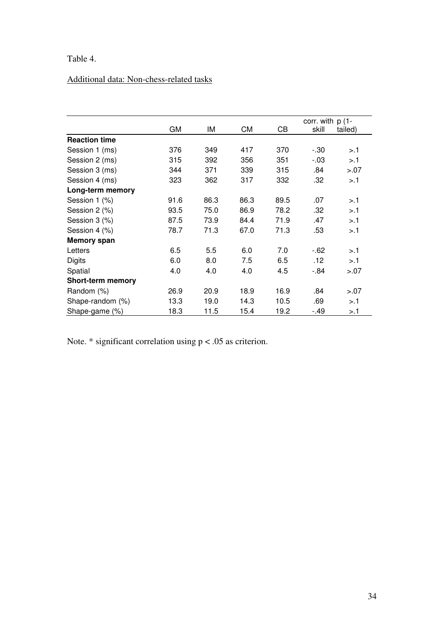# Table 4.

# Additional data: Non-chess-related tasks

|                          |      |      |      |      | corr. with $p(1 -$ |         |
|--------------------------|------|------|------|------|--------------------|---------|
|                          | GМ   | ΙM   | СM   | CВ   | skill              | tailed) |
| <b>Reaction time</b>     |      |      |      |      |                    |         |
| Session 1 (ms)           | 376  | 349  | 417  | 370  | $-30$              | >1      |
| Session 2 (ms)           | 315  | 392  | 356  | 351  | $-03$              | $>1$ .1 |
| Session 3 (ms)           | 344  | 371  | 339  | 315  | .84                | > 0.07  |
| Session 4 (ms)           | 323  | 362  | 317  | 332  | .32                | >1      |
| Long-term memory         |      |      |      |      |                    |         |
| Session 1 (%)            | 91.6 | 86.3 | 86.3 | 89.5 | .07                | >1      |
| Session 2 (%)            | 93.5 | 75.0 | 86.9 | 78.2 | .32                | >1      |
| Session 3 (%)            | 87.5 | 73.9 | 84.4 | 71.9 | .47                | >1      |
| Session 4 (%)            | 78.7 | 71.3 | 67.0 | 71.3 | .53                | >1      |
| <b>Memory span</b>       |      |      |      |      |                    |         |
| Letters                  | 6.5  | 5.5  | 6.0  | 7.0  | $-62$              | >1      |
| <b>Digits</b>            | 6.0  | 8.0  | 7.5  | 6.5  | .12                | > 1     |
| Spatial                  | 4.0  | 4.0  | 4.0  | 4.5  | $-84$              | > 0.07  |
| <b>Short-term memory</b> |      |      |      |      |                    |         |
| Random (%)               | 26.9 | 20.9 | 18.9 | 16.9 | .84                | > 0.07  |
| Shape-random (%)         | 13.3 | 19.0 | 14.3 | 10.5 | .69                | >1      |
| Shape-game (%)           | 18.3 | 11.5 | 15.4 | 19.2 | -.49               | >.1     |

Note.  $*$  significant correlation using  $p < .05$  as criterion.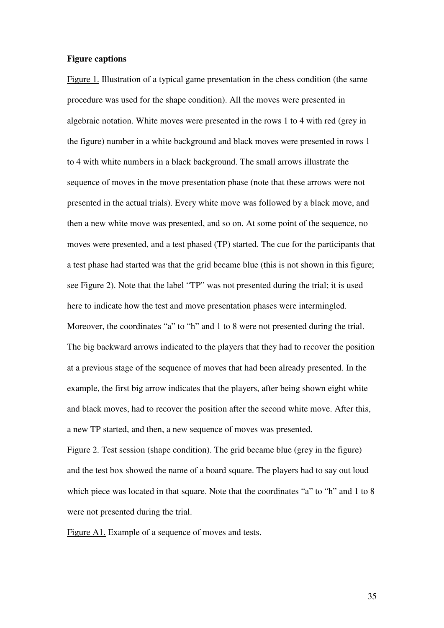#### **Figure captions**

Figure 1. Illustration of a typical game presentation in the chess condition (the same procedure was used for the shape condition). All the moves were presented in algebraic notation. White moves were presented in the rows 1 to 4 with red (grey in the figure) number in a white background and black moves were presented in rows 1 to 4 with white numbers in a black background. The small arrows illustrate the sequence of moves in the move presentation phase (note that these arrows were not presented in the actual trials). Every white move was followed by a black move, and then a new white move was presented, and so on. At some point of the sequence, no moves were presented, and a test phased (TP) started. The cue for the participants that a test phase had started was that the grid became blue (this is not shown in this figure; see Figure 2). Note that the label "TP" was not presented during the trial; it is used here to indicate how the test and move presentation phases were intermingled. Moreover, the coordinates "a" to "h" and 1 to 8 were not presented during the trial. The big backward arrows indicated to the players that they had to recover the position at a previous stage of the sequence of moves that had been already presented. In the example, the first big arrow indicates that the players, after being shown eight white and black moves, had to recover the position after the second white move. After this, a new TP started, and then, a new sequence of moves was presented.

Figure 2. Test session (shape condition). The grid became blue (grey in the figure) and the test box showed the name of a board square. The players had to say out loud which piece was located in that square. Note that the coordinates "a" to "h" and 1 to 8 were not presented during the trial.

Figure A1. Example of a sequence of moves and tests.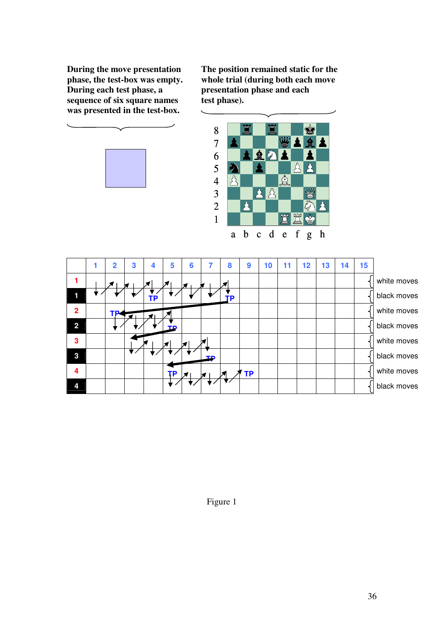sequence of six square names test phase). **was presented in the test-box.** 





|                | $\overline{2}$ | 3 | 4  | 5  | 6            |    | 8 | 9         | 10 | 11 | 12 | 13 | 14 | 15 |             |
|----------------|----------------|---|----|----|--------------|----|---|-----------|----|----|----|----|----|----|-------------|
|                |                |   |    |    |              |    |   |           |    |    |    |    |    |    | white moves |
|                |                | × |    |    |              |    |   |           |    |    |    |    |    |    | black moves |
| $\overline{2}$ |                |   | TΡ |    |              |    | р |           |    |    |    |    |    |    | white moves |
| $\overline{2}$ | TP.            |   | ◀∣ |    |              |    |   |           |    |    |    |    |    |    | black moves |
| 3              |                |   |    | ть |              |    |   |           |    |    |    |    |    |    | white moves |
| $\mathbf{3}$   |                |   |    |    | $\mathbf{z}$ |    |   |           |    |    |    |    |    |    |             |
|                |                |   |    |    |              | ΤĐ |   |           |    |    |    |    |    |    | black moves |
| 4              |                |   |    | ΤP |              |    |   | <b>TP</b> |    |    |    |    |    |    | white moves |
| 4              |                |   |    |    |              |    |   |           |    |    |    |    |    |    | black moves |

Figure 1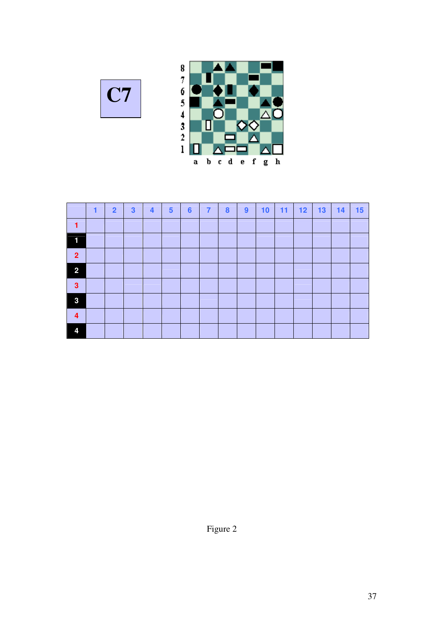



|                  | 1 | $\overline{2}$ | $\mathbf{3}$ | $\overline{\mathbf{4}}$ | $\sqrt{5}$ | $6\phantom{a}$ | $\overline{7}$ | $\boldsymbol{8}$ | 9 | 10 | 11 | 12 | 13 | 14 | 15 |
|------------------|---|----------------|--------------|-------------------------|------------|----------------|----------------|------------------|---|----|----|----|----|----|----|
| 1                |   |                |              |                         |            |                |                |                  |   |    |    |    |    |    |    |
| 1                |   |                |              |                         |            |                |                |                  |   |    |    |    |    |    |    |
| $\overline{2}$   |   |                |              |                         |            |                |                |                  |   |    |    |    |    |    |    |
| $\overline{2}$   |   |                |              |                         |            |                |                |                  |   |    |    |    |    |    |    |
| $\mathbf{3}$     |   |                |              |                         |            |                |                |                  |   |    |    |    |    |    |    |
| 3                |   |                |              |                         |            |                |                |                  |   |    |    |    |    |    |    |
| $\boldsymbol{4}$ |   |                |              |                         |            |                |                |                  |   |    |    |    |    |    |    |
| 4                |   |                |              |                         |            |                |                |                  |   |    |    |    |    |    |    |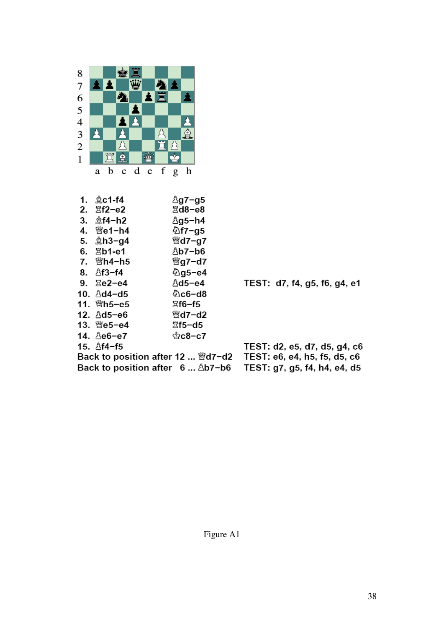